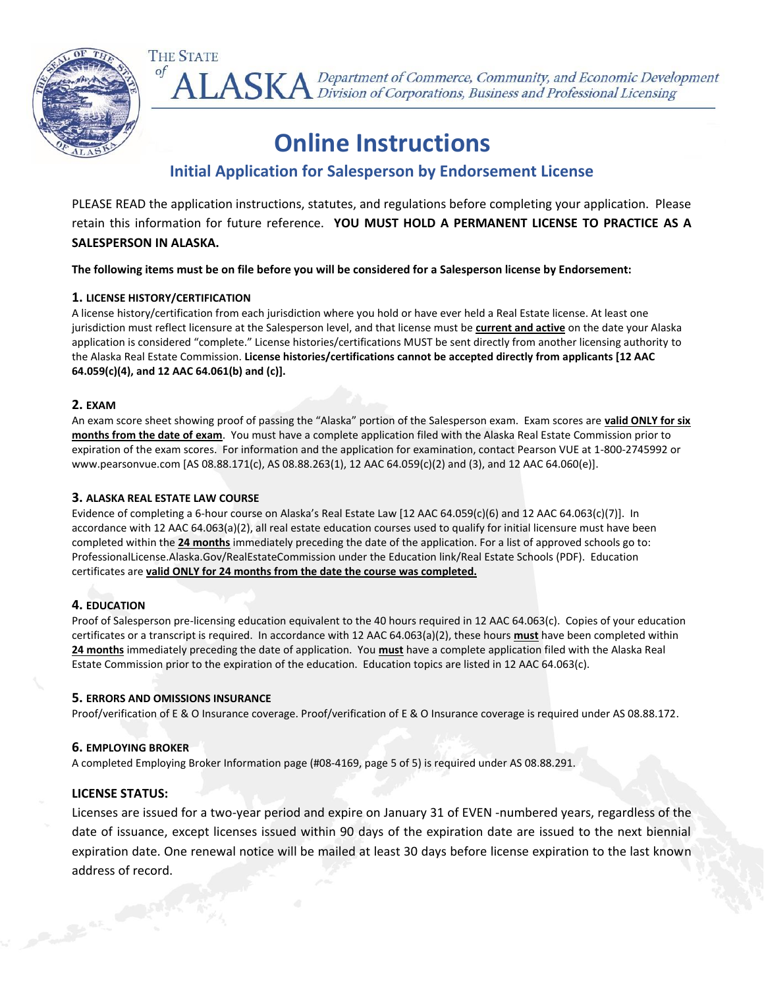

ALASKA Department of Commerce, Community, and Economic Development<br>ALASKA Division of Corporations, Business and Professional Licensing

# **Online Instructions**

### **Initial Application for Salesperson by Endorsement License**

PLEASE READ the application instructions, statutes, and regulations before completing your application. Please retain this information for future reference. **YOU MUST HOLD A PERMANENT LICENSE TO PRACTICE AS A SALESPERSON IN ALASKA.**

**The following items must be on file before you will be considered for a Salesperson license by Endorsement:**

#### **1. LICENSE HISTORY/CERTIFICATION**

**THE STATE** 

A license history/certification from each jurisdiction where you hold or have ever held a Real Estate license. At least one jurisdiction must reflect licensure at the Salesperson level, and that license must be **current and active** on the date your Alaska application is considered "complete." License histories/certifications MUST be sent directly from another licensing authority to the Alaska Real Estate Commission. **License histories/certifications cannot be accepted directly from applicants [12 AAC 64.059(c)(4), and 12 AAC 64.061(b) and (c)].**

#### **2. EXAM**

An exam score sheet showing proof of passing the "Alaska" portion of the Salesperson exam. Exam scores are **valid ONLY for six months from the date of exam**. You must have a complete application filed with the Alaska Real Estate Commission prior to expiration of the exam scores. For information and the application for examination, contact Pearson VUE at 1-800-2745992 or www.pearsonvue.com [AS 08.88.171(c), AS 08.88.263(1), 12 AAC 64.059(c)(2) and (3), and 12 AAC 64.060(e)].

#### **3. ALASKA REAL ESTATE LAW COURSE**

Evidence of completing a 6-hour course on Alaska's Real Estate Law [12 AAC 64.059(c)(6) and 12 AAC 64.063(c)(7)]. In accordance with 12 AAC 64.063(a)(2), all real estate education courses used to qualify for initial licensure must have been completed within the **24 months** immediately preceding the date of the application. For a list of approved schools go to: ProfessionalLicense.Alaska.Gov/RealEstateCommission under the Education link/Real Estate Schools (PDF). Education certificates are **valid ONLY for 24 months from the date the course was completed.**

#### **4. EDUCATION**

Proof of Salesperson pre-licensing education equivalent to the 40 hours required in 12 AAC 64.063(c). Copies of your education certificates or a transcript is required. In accordance with 12 AAC 64.063(a)(2), these hours **must** have been completed within **24 months** immediately preceding the date of application. You **must** have a complete application filed with the Alaska Real Estate Commission prior to the expiration of the education. Education topics are listed in 12 AAC 64.063(c).

#### **5. ERRORS AND OMISSIONS INSURANCE**

Proof/verification of E & O Insurance coverage. Proof/verification of E & O Insurance coverage is required under AS 08.88.172.

#### **6. EMPLOYING BROKER**

A completed Employing Broker Information page (#08-4169, page 5 of 5) is required under AS 08.88.291.

#### **LICENSE STATUS:**

Licenses are issued for a two-year period and expire on January 31 of EVEN -numbered years, regardless of the date of issuance, except licenses issued within 90 days of the expiration date are issued to the next biennial expiration date. One renewal notice will be mailed at least 30 days before license expiration to the last known address of record.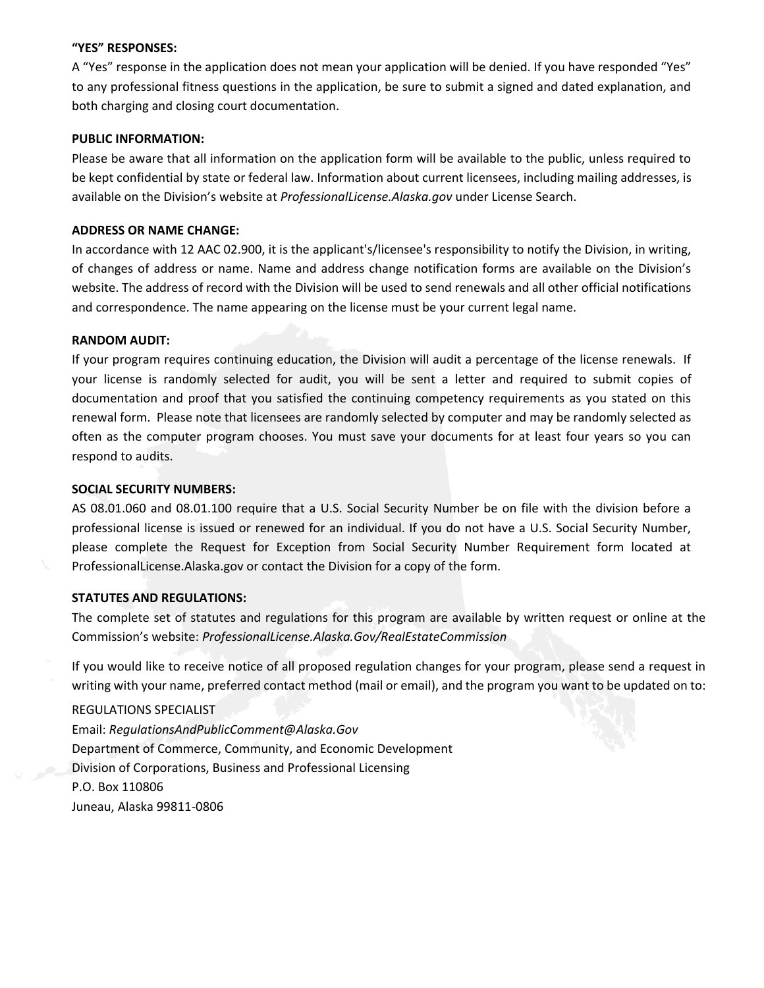#### **"YES" RESPONSES:**

A "Yes" response in the application does not mean your application will be denied. If you have responded "Yes" to any professional fitness questions in the application, be sure to submit a signed and dated explanation, and both charging and closing court documentation.

#### **PUBLIC INFORMATION:**

Please be aware that all information on the application form will be available to the public, unless required to be kept confidential by state or federal law. Information about current licensees, including mailing addresses, is available on the Division's website at *ProfessionalLicense.Alaska.gov* under License Search.

#### **ADDRESS OR NAME CHANGE:**

In accordance with 12 AAC 02.900, it is the applicant's/licensee's responsibility to notify the Division, in writing, of changes of address or name. Name and address change notification forms are available on the Division's website. The address of record with the Division will be used to send renewals and all other official notifications and correspondence. The name appearing on the license must be your current legal name.

#### **RANDOM AUDIT:**

If your program requires continuing education, the Division will audit a percentage of the license renewals. If your license is randomly selected for audit, you will be sent a letter and required to submit copies of documentation and proof that you satisfied the continuing competency requirements as you stated on this renewal form. Please note that licensees are randomly selected by computer and may be randomly selected as often as the computer program chooses. You must save your documents for at least four years so you can respond to audits.

#### **SOCIAL SECURITY NUMBERS:**

AS 08.01.060 and 08.01.100 require that a U.S. Social Security Number be on file with the division before a professional license is issued or renewed for an individual. If you do not have a U.S. Social Security Number, please complete the Request for Exception from Social Security Number Requirement form located at ProfessionalLicense.Alaska.gov or contact the Division for a copy of the form.

#### **STATUTES AND REGULATIONS:**

The complete set of statutes and regulations for this program are available by written request or online at the Commission's website: *ProfessionalLicense.Alaska.Gov/RealEstateCommission* 

If you would like to receive notice of all proposed regulation changes for your program, please send a request in writing with your name, preferred contact method (mail or email), and the program you want to be updated on to:

#### REGULATIONS SPECIALIST

Email: *RegulationsAndPublicComment@Alaska.Gov* Department of Commerce, Community, and Economic Development Division of Corporations, Business and Professional Licensing P.O. Box 110806 Juneau, Alaska 99811-0806